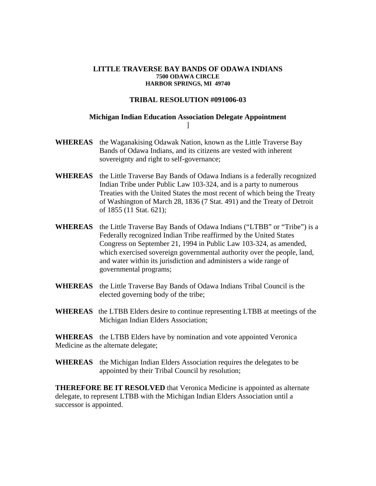## **LITTLE TRAVERSE BAY BANDS OF ODAWA INDIANS 7500 ODAWA CIRCLE HARBOR SPRINGS, MI 49740**

## **TRIBAL RESOLUTION #091006-03**

## **Michigan Indian Education Association Delegate Appointment**   $\mathbf{l}$

- **WHEREAS** the Waganakising Odawak Nation, known as the Little Traverse Bay Bands of Odawa Indians, and its citizens are vested with inherent sovereignty and right to self-governance;
- **WHEREAS** the Little Traverse Bay Bands of Odawa Indians is a federally recognized Indian Tribe under Public Law 103-324, and is a party to numerous Treaties with the United States the most recent of which being the Treaty of Washington of March 28, 1836 (7 Stat. 491) and the Treaty of Detroit of 1855 (11 Stat. 621);
- **WHEREAS** the Little Traverse Bay Bands of Odawa Indians ("LTBB" or "Tribe") is a Federally recognized Indian Tribe reaffirmed by the United States Congress on September 21, 1994 in Public Law 103-324, as amended, which exercised sovereign governmental authority over the people, land, and water within its jurisdiction and administers a wide range of governmental programs;
- **WHEREAS** the Little Traverse Bay Bands of Odawa Indians Tribal Council is the elected governing body of the tribe;
- **WHEREAS** the LTBB Elders desire to continue representing LTBB at meetings of the Michigan Indian Elders Association;

**WHEREAS** the LTBB Elders have by nomination and vote appointed Veronica Medicine as the alternate delegate;

**WHEREAS** the Michigan Indian Elders Association requires the delegates to be appointed by their Tribal Council by resolution;

**THEREFORE BE IT RESOLVED** that Veronica Medicine is appointed as alternate delegate, to represent LTBB with the Michigan Indian Elders Association until a successor is appointed.